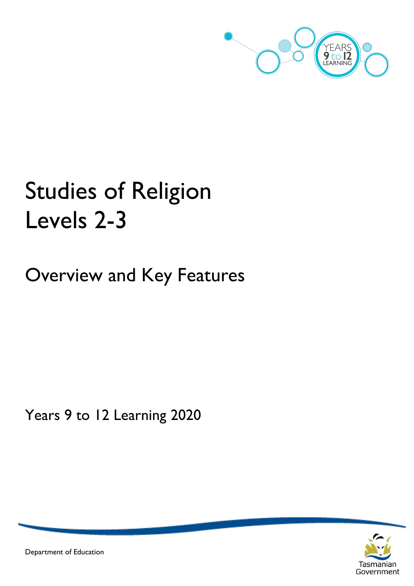

# Studies of Religion Levels 2-3

Overview and Key Features

Years 9 to 12 Learning 2020



Department of Education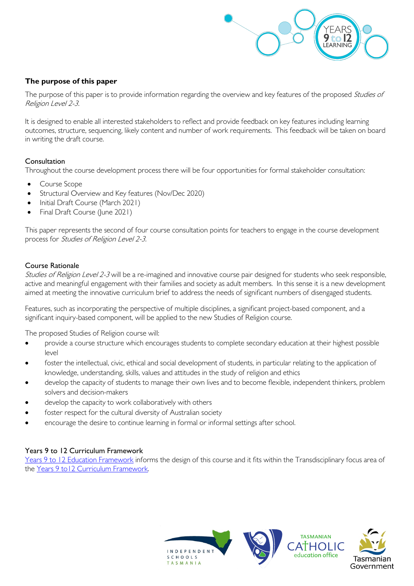

#### **The purpose of this paper**

The purpose of this paper is to provide information regarding the overview and key features of the proposed Studies of Religion Level 2-3.

It is designed to enable all interested stakeholders to reflect and provide feedback on key features including learning outcomes, structure, sequencing, likely content and number of work requirements. This feedback will be taken on board in writing the draft course.

#### **Consultation**

Throughout the course development process there will be four opportunities for formal stakeholder consultation:

- Course Scope
- Structural Overview and Key features (Nov/Dec 2020)
- Initial Draft Course (March 2021)
- Final Draft Course (June 2021)

This paper represents the second of four course consultation points for teachers to engage in the course development process for Studies of Religion Level 2-3.

#### Course Rationale

Studies of Religion Level 2-3 will be a re-imagined and innovative course pair designed for students who seek responsible, active and meaningful engagement with their families and society as adult members. In this sense it is a new development aimed at meeting the innovative curriculum brief to address the needs of significant numbers of disengaged students.

Features, such as incorporating the perspective of multiple disciplines, a significant project-based component, and a significant inquiry-based component, will be applied to the new Studies of Religion course.

The proposed Studies of Religion course will:

- provide a course structure which encourages students to complete secondary education at their highest possible level
- foster the intellectual, civic, ethical and social development of students, in particular relating to the application of knowledge, understanding, skills, values and attitudes in the study of religion and ethics
- develop the capacity of students to manage their own lives and to become flexible, independent thinkers, problem solvers and decision-makers
- develop the capacity to work collaboratively with others
- foster respect for the cultural diversity of Australian society
- encourage the desire to continue learning in formal or informal settings after school.

#### Years 9 to 12 Curriculum Framework

[Years 9 to 12 Education Framework](https://publicdocumentcentre.education.tas.gov.au/library/Shared%20Documents/Years-9-to-12-Education-Framework.pdf) informs the design of this course and it fits within the Transdisciplinary focus area of the Years 9 to 12 Curriculum Framework.

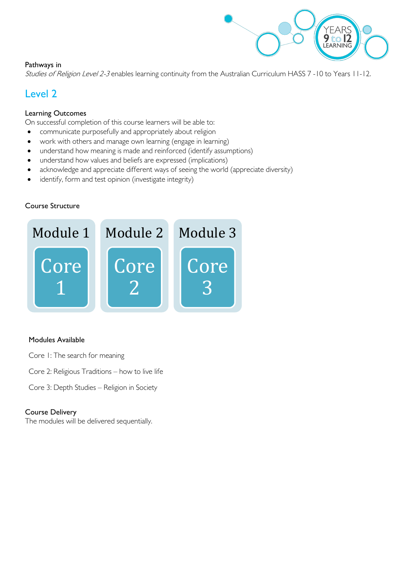

#### Pathways in

Studies of Religion Level 2-3 enables learning continuity from the Australian Curriculum HASS 7 -10 to Years 11-12.

### Level 2

#### Learning Outcomes

On successful completion of this course learners will be able to:

- communicate purposefully and appropriately about religion
- work with others and manage own learning (engage in learning)
- understand how meaning is made and reinforced (identify assumptions)
- understand how values and beliefs are expressed (implications)
- acknowledge and appreciate different ways of seeing the world (appreciate diversity)
- identify, form and test opinion (investigate integrity)

#### Course Structure



#### Modules Available

- Core 1: The search for meaning
- Core 2: Religious Traditions how to live life
- Core 3: Depth Studies Religion in Society

#### Course Delivery

The modules will be delivered sequentially.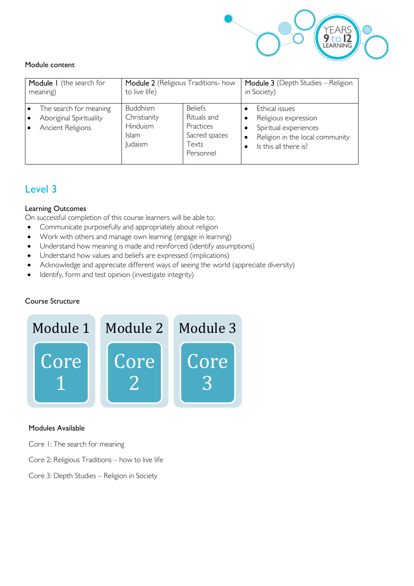

#### Module content

| Module I (the search for                                               | Module 2 (Religious Traditions- how                                           |                                                                                   | Module 3 (Depth Studies - Religion                                                                                                       |
|------------------------------------------------------------------------|-------------------------------------------------------------------------------|-----------------------------------------------------------------------------------|------------------------------------------------------------------------------------------------------------------------------------------|
| meaning)                                                               | to live life)                                                                 |                                                                                   | in Society)                                                                                                                              |
| The search for meaning<br>Aboriginal Spirituality<br>Ancient Religions | <b>Buddhism</b><br>Christianity<br>Hinduism<br><b>Islam</b><br><b>Judaism</b> | <b>Beliefs</b><br>Rituals and<br>Practices<br>Sacred spaces<br>Texts<br>Personnel | Ethical issues<br>Religious expression<br>Spiritual experiences<br>Religion in the local community<br>$\bullet$<br>Is this all there is? |

## Level 3

#### Learning Outcomes

On successful completion of this course learners will be able to:

- Communicate purposefully and appropriately about religion
- Work with others and manage own learning (engage in learning)
- Understand how meaning is made and reinforced (identify assumptions)
- Understand how values and beliefs are expressed (implications)
- Acknowledge and appreciate different ways of seeing the world (appreciate diversity)
- Identify, form and test opinion (investigate integrity)

#### Course Structure



#### Modules Available

- Core 1: The search for meaning
- Core 2: Religious Traditions how to live life
- Core 3: Depth Studies Religion in Society